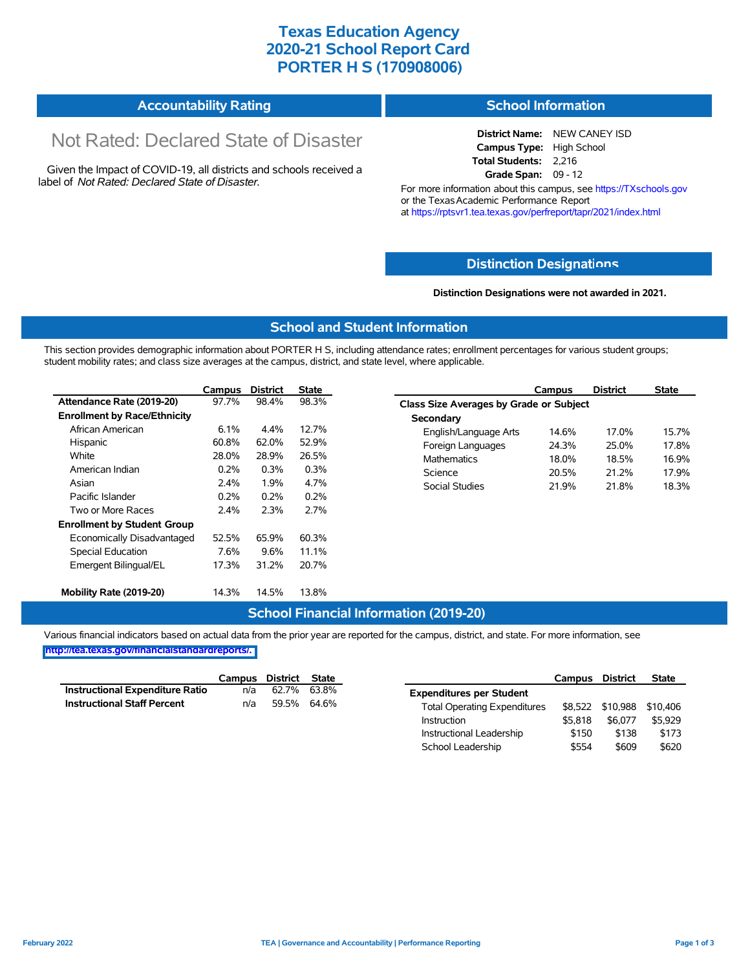## **Texas Education Agency 2020-21 School Report Card PORTER H S (170908006)**

#### **Accountability Rating School Information**

# Not Rated: Declared State of Disaster

Given the Impact of COVID-19, all districts and schools received a label of *Not Rated: Declared State of Disaster.*

**District Name:** NEW CANEY ISD **Campus Type:** High School **Total Students:** 2,216 **Grade Span:** 09 - 12

For more information about this campus, see https://TXschools.gov or the Texas Academic Performance Report at https://rptsvr1.tea.texas.gov/perfreport/tapr/2021/index.html

## **Distinction Designat[ions](https://TXschools.gov)**

#### **Distinction Designations were not awarded in 2021.**

School Leadership  $$554$  \$609 \$620

#### **School and Student Information**

This section provides demographic information about PORTER H S, including attendance rates; enrollment percentages for various student groups; student mobility rates; and class size averages at the campus, district, and state level, where applicable.

|                                     | Campus | <b>District</b> | <b>State</b> | Campus                         | <b>District</b>                         | <b>State</b> |  |  |  |  |  |
|-------------------------------------|--------|-----------------|--------------|--------------------------------|-----------------------------------------|--------------|--|--|--|--|--|
| Attendance Rate (2019-20)           | 97.7%  | 98.4%           | 98.3%        |                                | Class Size Averages by Grade or Subject |              |  |  |  |  |  |
| <b>Enrollment by Race/Ethnicity</b> |        |                 |              | Secondary                      |                                         |              |  |  |  |  |  |
| African American                    | 6.1%   | 4.4%            | 12.7%        | English/Language Arts<br>14.6% | 17.0%                                   |              |  |  |  |  |  |
| Hispanic                            | 60.8%  | 62.0%           | 52.9%        | 24.3%<br>Foreign Languages     | 25.0%                                   |              |  |  |  |  |  |
| White                               | 28.0%  | 28.9%           | 26.5%        | <b>Mathematics</b><br>18.0%    | 18.5%                                   |              |  |  |  |  |  |
| American Indian                     | 0.2%   | 0.3%            | 0.3%         | Science<br>20.5%               | 21.2%                                   |              |  |  |  |  |  |
| Asian                               | 2.4%   | 1.9%            | 4.7%         | Social Studies<br>21.9%        | 21.8%                                   |              |  |  |  |  |  |
| Pacific Islander                    | 0.2%   | 0.2%            | 0.2%         |                                |                                         |              |  |  |  |  |  |
| Two or More Races                   | 2.4%   | 2.3%            | 2.7%         |                                |                                         |              |  |  |  |  |  |
| <b>Enrollment by Student Group</b>  |        |                 |              |                                |                                         |              |  |  |  |  |  |
| Economically Disadvantaged          | 52.5%  | 65.9%           | 60.3%        |                                |                                         |              |  |  |  |  |  |
| Special Education                   | 7.6%   | 9.6%            | 11.1%        |                                |                                         |              |  |  |  |  |  |
| Emergent Bilingual/EL               | 17.3%  | 31.2%           | 20.7%        |                                |                                         |              |  |  |  |  |  |
| Mobility Rate (2019-20)             | 14.3%  | 14.5%           | 13.8%        |                                |                                         |              |  |  |  |  |  |

## **School Financial Information (2019-20)**

Various financial indicators based on actual data from the prior year are reported for the campus, district, and state. For more information, see

**[http://tea.texas.gov/financialstandardreports/.](http://tea.texas.gov/financialstandardreports/)**

|                                        | Campus | District | State |                                     | Campus  | <b>District</b>  | <b>State</b> |
|----------------------------------------|--------|----------|-------|-------------------------------------|---------|------------------|--------------|
| <b>Instructional Expenditure Ratio</b> | n/a    | 62.7%    | 63.8% | <b>Expenditures per Student</b>     |         |                  |              |
| <b>Instructional Staff Percent</b>     | n/a    | 59.5%    | 64.6% | <b>Total Operating Expenditures</b> |         | \$8,522 \$10,988 | \$10.406     |
|                                        |        |          |       | Instruction                         | \$5,818 | \$6,077          | \$5,929      |
|                                        |        |          |       | Instructional Leadership            | \$150   | \$138            | \$173        |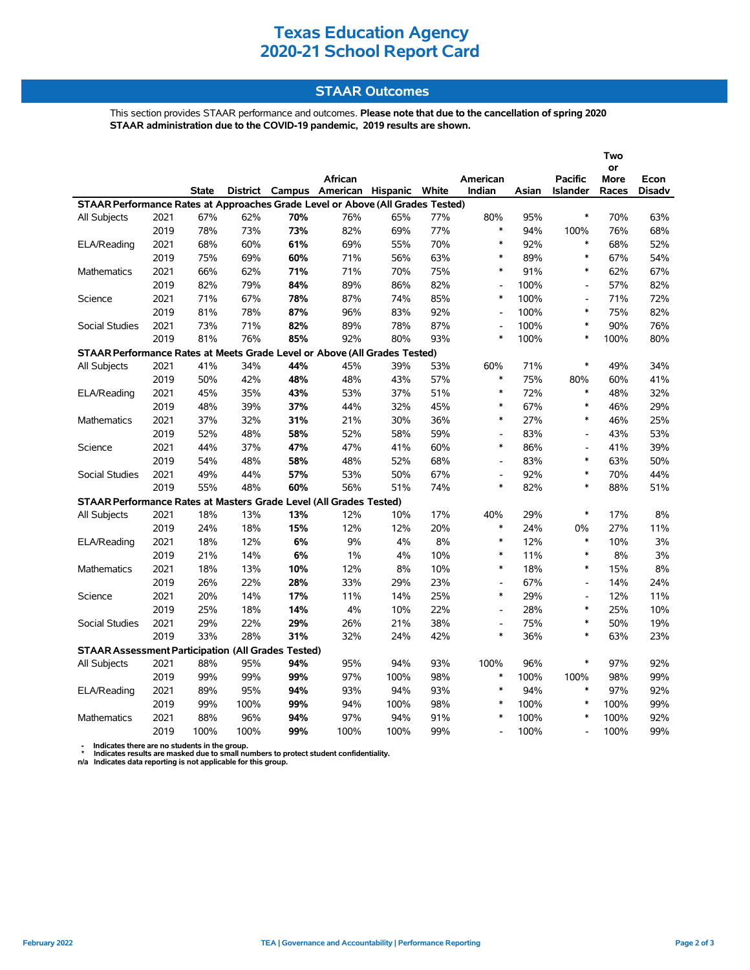## **Texas Education Agency 2020-21 School Report Card**

## **STAAR Outcomes**

This section provides STAAR performance and outcomes. **Please note that due to the cancellation of spring 2020 STAAR administration due to the COVID-19 pandemic, 2019 results are shown.**

|                                                                                |      |              |      |     | African                                 |      |     | American                 |       | <b>Pacific</b>               | or<br>More | Econ          |
|--------------------------------------------------------------------------------|------|--------------|------|-----|-----------------------------------------|------|-----|--------------------------|-------|------------------------------|------------|---------------|
|                                                                                |      | <b>State</b> |      |     | District Campus American Hispanic White |      |     | Indian                   | Asian | Islander                     | Races      | <b>Disadv</b> |
| STAAR Performance Rates at Approaches Grade Level or Above (All Grades Tested) |      |              |      |     |                                         |      |     |                          |       |                              |            |               |
| All Subjects                                                                   | 2021 | 67%          | 62%  | 70% | 76%                                     | 65%  | 77% | 80%                      | 95%   | $\ast$                       | 70%        | 63%           |
|                                                                                | 2019 | 78%          | 73%  | 73% | 82%                                     | 69%  | 77% | $\ast$                   | 94%   | 100%                         | 76%        | 68%           |
| ELA/Reading                                                                    | 2021 | 68%          | 60%  | 61% | 69%                                     | 55%  | 70% | $\ast$                   | 92%   | $\ast$                       | 68%        | 52%           |
|                                                                                | 2019 | 75%          | 69%  | 60% | 71%                                     | 56%  | 63% | $\ast$                   | 89%   | $\ast$                       | 67%        | 54%           |
| Mathematics                                                                    | 2021 | 66%          | 62%  | 71% | 71%                                     | 70%  | 75% | $\ast$                   | 91%   | $\ast$                       | 62%        | 67%           |
|                                                                                | 2019 | 82%          | 79%  | 84% | 89%                                     | 86%  | 82% | $\overline{\phantom{a}}$ | 100%  | $\overline{\phantom{a}}$     | 57%        | 82%           |
| Science                                                                        | 2021 | 71%          | 67%  | 78% | 87%                                     | 74%  | 85% | $\ast$                   | 100%  | $\overline{a}$               | 71%        | 72%           |
|                                                                                | 2019 | 81%          | 78%  | 87% | 96%                                     | 83%  | 92% | L,                       | 100%  | $\ast$                       | 75%        | 82%           |
| <b>Social Studies</b>                                                          | 2021 | 73%          | 71%  | 82% | 89%                                     | 78%  | 87% | L,                       | 100%  | $\ast$                       | 90%        | 76%           |
|                                                                                | 2019 | 81%          | 76%  | 85% | 92%                                     | 80%  | 93% | $\ast$                   | 100%  | $\ast$                       | 100%       | 80%           |
| STAAR Performance Rates at Meets Grade Level or Above (All Grades Tested)      |      |              |      |     |                                         |      |     |                          |       |                              |            |               |
| All Subjects                                                                   | 2021 | 41%          | 34%  | 44% | 45%                                     | 39%  | 53% | 60%                      | 71%   | $\ast$                       | 49%        | 34%           |
|                                                                                | 2019 | 50%          | 42%  | 48% | 48%                                     | 43%  | 57% | $\ast$                   | 75%   | 80%                          | 60%        | 41%           |
| ELA/Reading                                                                    | 2021 | 45%          | 35%  | 43% | 53%                                     | 37%  | 51% | $\ast$                   | 72%   | $\ast$                       | 48%        | 32%           |
|                                                                                | 2019 | 48%          | 39%  | 37% | 44%                                     | 32%  | 45% | $\ast$                   | 67%   | $\ast$                       | 46%        | 29%           |
| Mathematics                                                                    | 2021 | 37%          | 32%  | 31% | 21%                                     | 30%  | 36% | $\ast$                   | 27%   | $\ast$                       | 46%        | 25%           |
|                                                                                | 2019 | 52%          | 48%  | 58% | 52%                                     | 58%  | 59% | $\overline{a}$           | 83%   | $\qquad \qquad \blacksquare$ | 43%        | 53%           |
| Science                                                                        | 2021 | 44%          | 37%  | 47% | 47%                                     | 41%  | 60% | $\ast$                   | 86%   | $\overline{\phantom{a}}$     | 41%        | 39%           |
|                                                                                | 2019 | 54%          | 48%  | 58% | 48%                                     | 52%  | 68% | L,                       | 83%   | $\ast$                       | 63%        | 50%           |
| <b>Social Studies</b>                                                          | 2021 | 49%          | 44%  | 57% | 53%                                     | 50%  | 67% | $\overline{\phantom{a}}$ | 92%   | $\ast$                       | 70%        | 44%           |
|                                                                                | 2019 | 55%          | 48%  | 60% | 56%                                     | 51%  | 74% | $\ast$                   | 82%   | $\ast$                       | 88%        | 51%           |
| STAAR Performance Rates at Masters Grade Level (All Grades Tested)             |      |              |      |     |                                         |      |     |                          |       |                              |            |               |
| All Subjects                                                                   | 2021 | 18%          | 13%  | 13% | 12%                                     | 10%  | 17% | 40%                      | 29%   | $\ast$                       | 17%        | 8%            |
|                                                                                | 2019 | 24%          | 18%  | 15% | 12%                                     | 12%  | 20% | $\ast$                   | 24%   | $0\%$                        | 27%        | 11%           |
| ELA/Reading                                                                    | 2021 | 18%          | 12%  | 6%  | 9%                                      | 4%   | 8%  | $\ast$                   | 12%   | $\ast$                       | 10%        | 3%            |
|                                                                                | 2019 | 21%          | 14%  | 6%  | $1\%$                                   | 4%   | 10% | $\ast$                   | 11%   | $\ast$                       | 8%         | 3%            |
| Mathematics                                                                    | 2021 | 18%          | 13%  | 10% | 12%                                     | 8%   | 10% | $\ast$                   | 18%   | $\ast$                       | 15%        | 8%            |
|                                                                                | 2019 | 26%          | 22%  | 28% | 33%                                     | 29%  | 23% |                          | 67%   | $\overline{\phantom{a}}$     | 14%        | 24%           |
| Science                                                                        | 2021 | 20%          | 14%  | 17% | 11%                                     | 14%  | 25% | $\ast$                   | 29%   | $\blacksquare$               | 12%        | 11%           |
|                                                                                | 2019 | 25%          | 18%  | 14% | 4%                                      | 10%  | 22% | $\overline{a}$           | 28%   | $\ast$                       | 25%        | 10%           |
| <b>Social Studies</b>                                                          | 2021 | 29%          | 22%  | 29% | 26%                                     | 21%  | 38% | $\overline{\phantom{a}}$ | 75%   | $\ast$                       | 50%        | 19%           |
|                                                                                | 2019 | 33%          | 28%  | 31% | 32%                                     | 24%  | 42% | $\ast$                   | 36%   | $\ast$                       | 63%        | 23%           |
| <b>STAAR Assessment Participation (All Grades Tested)</b>                      |      |              |      |     |                                         |      |     |                          |       |                              |            |               |
| All Subjects                                                                   | 2021 | 88%          | 95%  | 94% | 95%                                     | 94%  | 93% | 100%                     | 96%   | $\ast$                       | 97%        | 92%           |
|                                                                                | 2019 | 99%          | 99%  | 99% | 97%                                     | 100% | 98% | $\ast$                   | 100%  | 100%                         | 98%        | 99%           |
| ELA/Reading                                                                    | 2021 | 89%          | 95%  | 94% | 93%                                     | 94%  | 93% | $\ast$                   | 94%   | $\ast$                       | 97%        | 92%           |
|                                                                                | 2019 | 99%          | 100% | 99% | 94%                                     | 100% | 98% | *                        | 100%  | $\ast$                       | 100%       | 99%           |
| <b>Mathematics</b>                                                             | 2021 | 88%          | 96%  | 94% | 97%                                     | 94%  | 91% | *                        | 100%  | $\ast$                       | 100%       | 92%           |
|                                                                                | 2019 | 100%         | 100% | 99% | 100%                                    | 100% | 99% | $\overline{\phantom{a}}$ | 100%  | ۰                            | 100%       | 99%           |

 **- Indicates there are no students in the group. \* Indicates results are masked due to small numbers to protect student confidentiality.**

**n/a Indicates data reporting is not applicable for this group.**